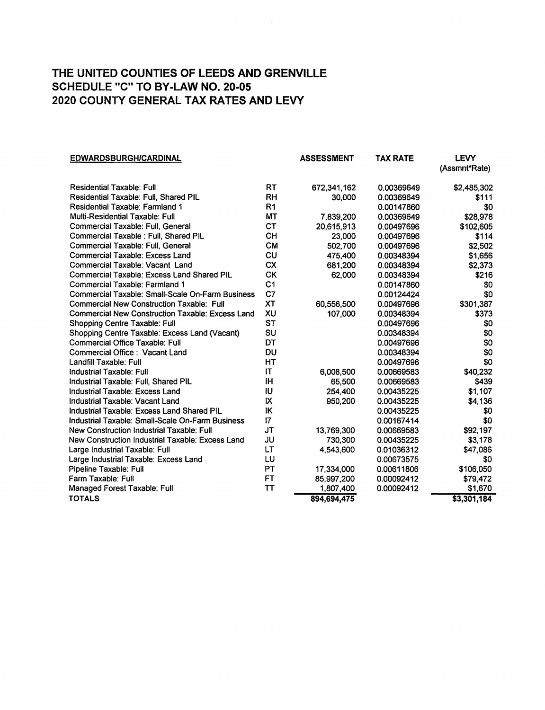| <b>EDWARDSBURGH/CARDINAL</b>                            |                | <b>ASSESSMENT</b> | <b>TAX RATE</b> | <b>LEVY</b>   |
|---------------------------------------------------------|----------------|-------------------|-----------------|---------------|
|                                                         |                |                   |                 | (Assmnt*Rate) |
| <b>Residential Taxable: Full</b>                        | RT             | 672,341,162       | 0.00369649      | \$2,485,302   |
| <b>Residential Taxable: Full, Shared PIL</b>            | <b>RH</b>      | 30,000            | 0.00369649      | \$111         |
| Residential Taxable: Farmland 1                         | R <sub>1</sub> |                   | 0.00147860      | \$0           |
| Multi-Residential Taxable: Full                         | <b>MT</b>      | 7,839,200         | 0.00369649      | \$28,978      |
| Commercial Taxable: Full, General                       | <b>CT</b>      | 20,615,913        | 0.00497696      | \$102,605     |
| Commercial Taxable : Full, Shared PIL                   | <b>CH</b>      | 23,000            | 0.00497696      | \$114         |
| Commercial Taxable: Full, General                       | <b>CM</b>      | 502,700           | 0.00497696      | \$2,502       |
| <b>Commercial Taxable: Excess Land</b>                  | CU             | 475,400           | 0.00348394      | \$1,656       |
| Commercial Taxable: Vacant Land                         | <b>CX</b>      | 681,200           | 0.00348394      | \$2,373       |
| <b>Commercial Taxable: Excess Land Shared PIL</b>       | <b>CK</b>      | 62,000            | 0.00348394      | \$216         |
| Commercial Taxable: Farmland 1                          | C <sub>1</sub> |                   | 0.00147860      | \$0           |
| <b>Commercial Taxable: Small-Scale On-Farm Business</b> | C7             |                   | 0.00124424      | \$0           |
| <b>Commercial New Construction Taxable: Full</b>        | <b>XT</b>      | 60,556,500        | 0.00497696      | \$301,387     |
| <b>Commercial New Construction Taxable: Excess Land</b> | XU             | 107,000           | 0.00348394      | \$373         |
| Shopping Centre Taxable: Full                           | <b>ST</b>      |                   | 0.00497696      | \$0           |
| Shopping Centre Taxable: Excess Land (Vacant)           | SU             |                   | 0.00348394      | \$0           |
| <b>Commercial Office Taxable: Full</b>                  | <b>DT</b>      |                   | 0.00497696      | \$0           |
| Commercial Office : Vacant Land                         | DU             |                   | 0.00348394      | \$0           |
| Landfill Taxable: Full                                  | HT             |                   | 0.00497696      | \$0           |
| <b>Industrial Taxable: Full</b>                         | IT             | 6,008,500         | 0.00669583      | \$40,232      |
| Industrial Taxable: Full, Shared PIL                    | ΙH             | 65,500            | 0.00669583      | \$439         |
| Industrial Taxable: Excess Land                         | IU             | 254,400           | 0.00435225      | \$1,107       |
| Industrial Taxable: Vacant Land                         | IX             | 950,200           | 0.00435225      | \$4,136       |
| Industrial Taxable: Excess Land Shared PIL              | IK             |                   | 0.00435225      | \$0           |
| Industrial Taxable: Small-Scale On-Farm Business        | 17             |                   | 0.00167414      | \$0           |
| New Construction Industrial Taxable: Full               | <b>JT</b>      | 13,769,300        | 0.00669583      | \$92,197      |
| New Construction Industrial Taxable: Excess Land        | JU             | 730,300           | 0.00435225      | \$3,178       |
| Large Industrial Taxable: Full                          | LT             | 4,543,600         | 0.01036312      | \$47,086      |
| Large Industrial Taxable: Excess Land                   | LU             |                   | 0.00673575      | \$0           |
| Pipeline Taxable: Full                                  | PT             | 17,334,000        | 0.00611806      | \$106,050     |
| Farm Taxable: Full                                      | <b>FT</b>      | 85,997,200        | 0.00092412      | \$79,472      |
| Managed Forest Taxable: Full                            | TΤ             | 1,807,400         | 0.00092412      | \$1,670       |
| <b>TOTALS</b>                                           |                | 894,694,475       |                 | \$3,301,184   |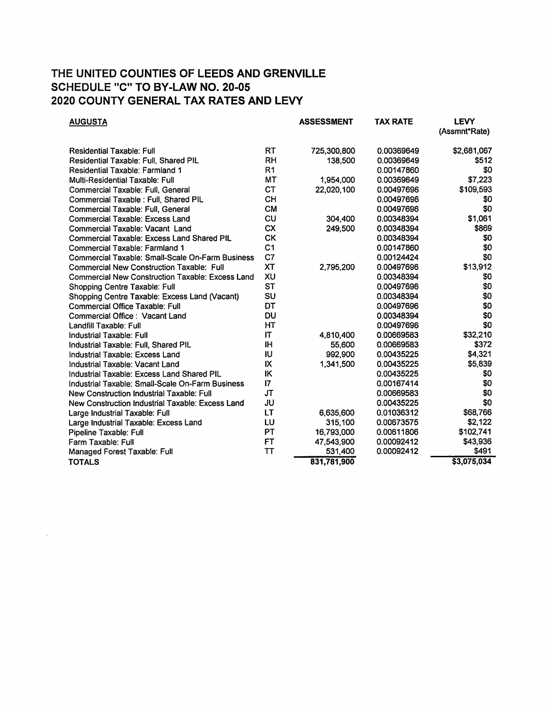| <b>AUGUSTA</b>                                          |                | <b>ASSESSMENT</b> | <b>TAX RATE</b> | <b>LEVY</b><br>(Assmnt*Rate) |
|---------------------------------------------------------|----------------|-------------------|-----------------|------------------------------|
|                                                         |                |                   |                 |                              |
| <b>Residential Taxable: Full</b>                        | RT             | 725,300,800       | 0.00369649      | \$2,681,067                  |
| Residential Taxable: Full, Shared PIL                   | <b>RH</b>      | 138,500           | 0.00369649      | <b>\$512</b>                 |
| Residential Taxable: Farmland 1                         | R <sub>1</sub> |                   | 0.00147860      | \$0                          |
| Multi-Residential Taxable: Full                         | <b>MT</b>      | 1,954,000         | 0.00369649      | \$7,223                      |
| Commercial Taxable: Full, General                       | <b>CT</b>      | 22,020,100        | 0.00497696      | \$109,593                    |
| Commercial Taxable : Full, Shared PIL                   | <b>CH</b>      |                   | 0.00497696      | \$0                          |
| Commercial Taxable: Full, General                       | <b>CM</b>      |                   | 0.00497696      | \$0                          |
| <b>Commercial Taxable: Excess Land</b>                  | CU             | 304,400           | 0.00348394      | \$1,061                      |
| Commercial Taxable: Vacant Land                         | <b>CX</b>      | 249,500           | 0.00348394      | \$869                        |
| <b>Commercial Taxable: Excess Land Shared PIL</b>       | <b>CK</b>      |                   | 0.00348394      | \$0                          |
| Commercial Taxable: Farmland 1                          | C <sub>1</sub> |                   | 0.00147860      | \$0                          |
| Commercial Taxable: Small-Scale On-Farm Business        | C7             |                   | 0.00124424      | \$0                          |
| <b>Commercial New Construction Taxable: Full</b>        | <b>XT</b>      | 2,795,200         | 0.00497696      | \$13,912                     |
| <b>Commercial New Construction Taxable: Excess Land</b> | XU             |                   | 0.00348394      | \$0                          |
| Shopping Centre Taxable: Full                           | <b>ST</b>      |                   | 0.00497696      | \$0                          |
| Shopping Centre Taxable: Excess Land (Vacant)           | SU             |                   | 0.00348394      | \$0                          |
| Commercial Office Taxable: Full                         | DT             |                   | 0.00497696      | \$0                          |
| Commercial Office: Vacant Land                          | <b>DU</b>      |                   | 0.00348394      | \$0                          |
| Landfill Taxable: Full                                  | <b>HT</b>      |                   | 0.00497696      | \$0                          |
| <b>Industrial Taxable: Full</b>                         | IT             | 4,810,400         | 0.00669583      | \$32,210                     |
| Industrial Taxable: Full, Shared PIL                    | <b>IH</b>      | 55,600            | 0.00669583      | \$372                        |
| Industrial Taxable: Excess Land                         | IU             | 992,900           | 0.00435225      | \$4,321                      |
| Industrial Taxable: Vacant Land                         | IX             | 1,341,500         | 0.00435225      | \$5,839                      |
| Industrial Taxable: Excess Land Shared PIL              | IK             |                   | 0.00435225      | \$0                          |
| Industrial Taxable: Small-Scale On-Farm Business        | 17             |                   | 0.00167414      | \$0                          |
| New Construction Industrial Taxable: Full               | <b>JT</b>      |                   | 0.00669583      | \$0                          |
| New Construction Industrial Taxable: Excess Land        | JU             |                   | 0.00435225      | \$0                          |
| Large Industrial Taxable: Full                          | LT             | 6,635,600         | 0.01036312      | \$68,766                     |
| Large Industrial Taxable: Excess Land                   | LU             | 315,100           | 0.00673575      | \$2,122                      |
| Pipeline Taxable: Full                                  | PT             | 16,793,000        | 0.00611806      | \$102,741                    |
| Farm Taxable: Full                                      | <b>FT</b>      | 47,543,900        | 0.00092412      | \$43,936                     |
| Managed Forest Taxable: Full                            | TT             | 531,400           | 0.00092412      | \$491                        |
| <b>TOTALS</b>                                           |                | 831,781,900       |                 | \$3,075,034                  |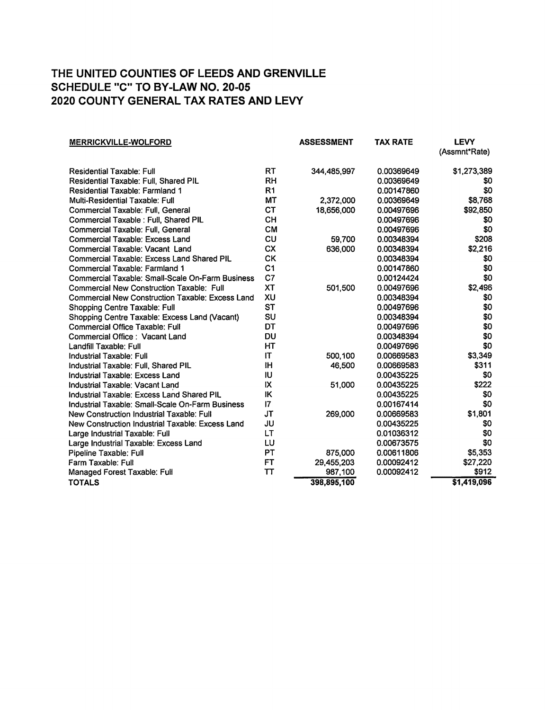| <b>MERRICKVILLE-WOLFORD</b>                             |                 | <b>ASSESSMENT</b> | <b>TAX RATE</b> | <b>LEVY</b><br>(Assmnt*Rate) |
|---------------------------------------------------------|-----------------|-------------------|-----------------|------------------------------|
|                                                         |                 |                   |                 |                              |
| <b>Residential Taxable: Full</b>                        | RT              | 344,485,997       | 0.00369649      | \$1,273,389                  |
| Residential Taxable: Full, Shared PIL                   | <b>RH</b>       |                   | 0.00369649      | \$0                          |
| <b>Residential Taxable: Farmland 1</b>                  | R <sub>1</sub>  |                   | 0.00147860      | \$0                          |
| Multi-Residential Taxable: Full                         | MT              | 2,372,000         | 0.00369649      | \$8,768                      |
| Commercial Taxable: Full, General                       | <b>CT</b>       | 18,656,000        | 0.00497696      | \$92,850                     |
| Commercial Taxable : Full, Shared PIL                   | <b>CH</b>       |                   | 0.00497696      | \$0                          |
| Commercial Taxable: Full, General                       | <b>CM</b>       |                   | 0.00497696      | \$0                          |
| <b>Commercial Taxable: Excess Land</b>                  | CU              | 59.700            | 0.00348394      | \$208                        |
| Commercial Taxable: Vacant Land                         | <b>CX</b>       | 636,000           | 0.00348394      | \$2,216                      |
| Commercial Taxable: Excess Land Shared PIL              | <b>CK</b>       |                   | 0.00348394      | \$0                          |
| Commercial Taxable: Farmland 1                          | C <sub>1</sub>  |                   | 0.00147860      | \$0                          |
| <b>Commercial Taxable: Small-Scale On-Farm Business</b> | C7              |                   | 0.00124424      | \$0                          |
| Commercial New Construction Taxable: Full               | <b>XT</b>       | 501,500           | 0.00497696      | \$2,496                      |
| <b>Commercial New Construction Taxable: Excess Land</b> | XU              |                   | 0.00348394      | \$0                          |
| Shopping Centre Taxable: Full                           | <b>ST</b>       |                   | 0.00497696      | \$0                          |
| Shopping Centre Taxable: Excess Land (Vacant)           | SU              |                   | 0.00348394      | \$0                          |
| <b>Commercial Office Taxable: Full</b>                  | DT              |                   | 0.00497696      | \$0                          |
| Commercial Office: Vacant Land                          | DU              |                   | 0.00348394      | \$0                          |
| Landfill Taxable: Full                                  | HТ              |                   | 0.00497696      | \$0                          |
| Industrial Taxable: Full                                | IT              | 500,100           | 0.00669583      | \$3,349                      |
| Industrial Taxable: Full. Shared PIL                    | ΙH              | 46,500            | 0.00669583      | \$311                        |
| Industrial Taxable: Excess Land                         | <b>IU</b>       |                   | 0.00435225      | \$0                          |
| Industrial Taxable: Vacant Land                         | IX              | 51,000            | 0.00435225      | \$222                        |
| Industrial Taxable: Excess Land Shared PIL              | IK              |                   | 0.00435225      | \$0                          |
| Industrial Taxable: Small-Scale On-Farm Business        | $\overline{17}$ |                   | 0.00167414      | \$0                          |
| New Construction Industrial Taxable: Full               | <b>JT</b>       | 269,000           | 0.00669583      | \$1,801                      |
| New Construction Industrial Taxable: Excess Land        | JU              |                   | 0.00435225      | \$0                          |
| Large Industrial Taxable: Full                          | LT              |                   | 0.01036312      | \$0                          |
| Large Industrial Taxable: Excess Land                   | LU              |                   | 0.00673575      | \$0                          |
| Pipeline Taxable: Full                                  | PT              | 875,000           | 0.00611806      | \$5,353                      |
| Farm Taxable: Full                                      | <b>FT</b>       | 29,455,203        | 0.00092412      | \$27,220                     |
| Managed Forest Taxable: Full                            | TΤ              | 987,100           | 0.00092412      | \$912                        |
| <b>TOTALS</b>                                           |                 | 398,895,100       |                 | \$1,419,096                  |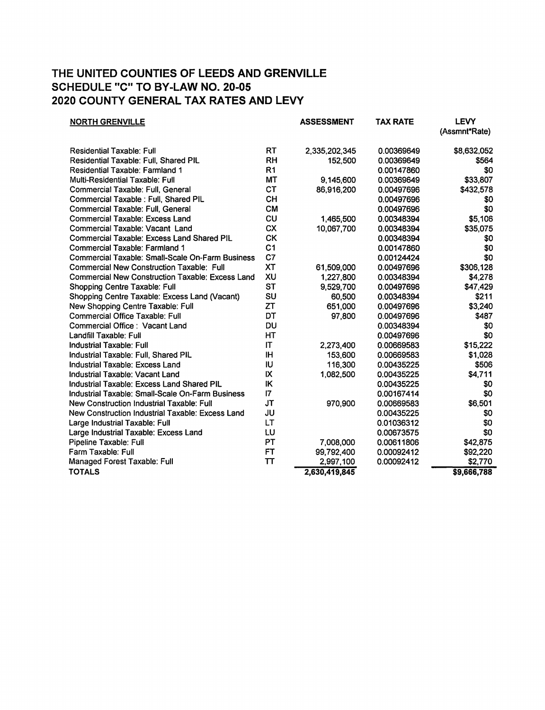| <b>NORTH GRENVILLE</b>                                  |                 | <b>ASSESSMENT</b> | <b>TAX RATE</b> | <b>LEVY</b><br>(Assmnt*Rate) |
|---------------------------------------------------------|-----------------|-------------------|-----------------|------------------------------|
| <b>Residential Taxable: Full</b>                        | RT              | 2,335,202,345     | 0.00369649      | \$8,632,052                  |
| <b>Residential Taxable: Full, Shared PIL</b>            | RH              | 152,500           | 0.00369649      | \$564                        |
| <b>Residential Taxable: Farmland 1</b>                  | R <sub>1</sub>  |                   | 0.00147860      | \$0                          |
| Multi-Residential Taxable: Full                         | <b>MT</b>       | 9,145,600         | 0.00369649      | \$33,807                     |
| Commercial Taxable: Full. General                       | <b>CT</b>       | 86,916,200        | 0.00497696      | \$432,578                    |
| Commercial Taxable : Full, Shared PIL                   | <b>CH</b>       |                   | 0.00497696      | \$0                          |
| Commercial Taxable: Full, General                       | <b>CM</b>       |                   | 0.00497696      | \$0                          |
| <b>Commercial Taxable: Excess Land</b>                  | CU              | 1,465,500         | 0.00348394      | \$5,106                      |
| Commercial Taxable: Vacant Land                         | <b>CX</b>       | 10,067,700        | 0.00348394      | \$35,075                     |
| <b>Commercial Taxable: Excess Land Shared PIL</b>       | <b>CK</b>       |                   | 0.00348394      | \$0                          |
| Commercial Taxable: Farmland 1                          | C <sub>1</sub>  |                   | 0.00147860      | \$0                          |
| <b>Commercial Taxable: Small-Scale On-Farm Business</b> | C7              |                   | 0.00124424      | \$0                          |
| Commercial New Construction Taxable: Full               | <b>XT</b>       | 61,509,000        | 0.00497696      | \$306,128                    |
| Commercial New Construction Taxable: Excess Land        | XU              | 1,227,800         | 0.00348394      | \$4,278                      |
| Shopping Centre Taxable: Full                           | <b>ST</b>       | 9,529,700         | 0.00497696      | \$47,429                     |
| Shopping Centre Taxable: Excess Land (Vacant)           | SU              | 60,500            | 0.00348394      | \$211                        |
| New Shopping Centre Taxable: Full                       | ZT              | 651,000           | 0.00497696      | \$3,240                      |
| Commercial Office Taxable: Full                         | DT              | 97,800            | 0.00497696      | \$487                        |
| Commercial Office: Vacant Land                          | DU              |                   | 0.00348394      | \$0                          |
| Landfill Taxable: Full                                  | HT              |                   | 0.00497696      | \$0                          |
| <b>Industrial Taxable: Full</b>                         | IT              | 2,273,400         | 0.00669583      | \$15,222                     |
| Industrial Taxable: Full, Shared PIL                    | <b>IH</b>       | 153,600           | 0.00669583      | \$1,028                      |
| Industrial Taxable: Excess Land                         | IU              | 116,300           | 0.00435225      | \$506                        |
| Industrial Taxable: Vacant Land                         | IX              | 1,082,500         | 0.00435225      | \$4,711                      |
| Industrial Taxable: Excess Land Shared PIL              | IK              |                   | 0.00435225      | \$0                          |
| Industrial Taxable: Small-Scale On-Farm Business        | $\overline{17}$ |                   | 0.00167414      | \$0                          |
| New Construction Industrial Taxable: Full               | <b>JT</b>       | 970,900           | 0.00669583      | \$6,501                      |
| New Construction Industrial Taxable: Excess Land        | JU              |                   | 0.00435225      | \$0                          |
| Large Industrial Taxable: Full                          | LT              |                   | 0.01036312      | \$0                          |
| Large Industrial Taxable: Excess Land                   | LU              |                   | 0.00673575      | \$0                          |
| Pipeline Taxable: Full                                  | PT              | 7,008,000         | 0.00611806      | \$42,875                     |
| Farm Taxable: Full                                      | <b>FT</b>       | 99,792,400        | 0.00092412      | \$92,220                     |
| Managed Forest Taxable: Full                            | TΤ              | 2,997,100         | 0.00092412      | \$2,770                      |
| <b>TOTALS</b>                                           |                 | 2,630,419,845     |                 | \$9,666,788                  |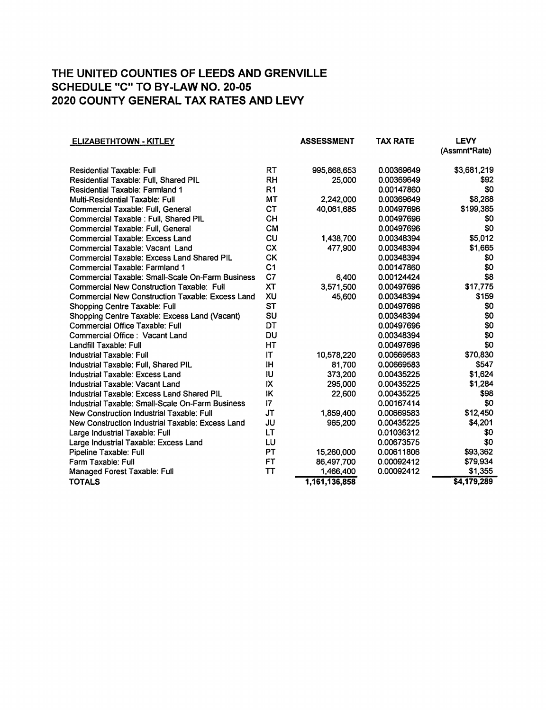| <b>ELIZABETHTOWN - KITLEY</b>                           |                | <b>ASSESSMENT</b> | <b>TAX RATE</b> | <b>LEVY</b>   |
|---------------------------------------------------------|----------------|-------------------|-----------------|---------------|
|                                                         |                |                   |                 | (Assmnt*Rate) |
| Residential Taxable: Full                               | <b>RT</b>      | 995,868,653       | 0.00369649      | \$3,681,219   |
| Residential Taxable: Full, Shared PIL                   | <b>RH</b>      | 25,000            | 0.00369649      | \$92          |
| Residential Taxable: Farmland 1                         | R <sub>1</sub> |                   | 0.00147860      | \$0           |
| <b>Multi-Residential Taxable: Full</b>                  | <b>MT</b>      | 2,242,000         | 0.00369649      | \$8,288       |
| Commercial Taxable: Full, General                       | <b>CT</b>      | 40,061,685        | 0.00497696      | \$199,385     |
| Commercial Taxable : Full, Shared PIL                   | <b>CH</b>      |                   | 0.00497696      | \$0           |
| Commercial Taxable: Full, General                       | <b>CM</b>      |                   | 0.00497696      | \$0           |
| Commercial Taxable: Excess Land                         | CU             | 1,438,700         | 0.00348394      | \$5,012       |
| Commercial Taxable: Vacant Land                         | <b>CX</b>      | 477,900           | 0.00348394      | \$1,665       |
| <b>Commercial Taxable: Excess Land Shared PIL</b>       | <b>CK</b>      |                   | 0.00348394      | \$0           |
| Commercial Taxable: Farmland 1                          | C <sub>1</sub> |                   | 0.00147860      | \$0           |
| <b>Commercial Taxable: Small-Scale On-Farm Business</b> | C7             | 6,400             | 0.00124424      | \$8           |
| <b>Commercial New Construction Taxable: Full</b>        | XT             | 3,571,500         | 0.00497696      | \$17,775      |
| <b>Commercial New Construction Taxable: Excess Land</b> | XU             | 45,600            | 0.00348394      | \$159         |
| <b>Shopping Centre Taxable: Full</b>                    | <b>ST</b>      |                   | 0.00497696      | \$0           |
| Shopping Centre Taxable: Excess Land (Vacant)           | SU             |                   | 0.00348394      | \$0           |
| <b>Commercial Office Taxable: Full</b>                  | DT             |                   | 0.00497696      | \$0           |
| Commercial Office: Vacant Land                          | DU             |                   | 0.00348394      | \$0           |
| Landfill Taxable: Full                                  | HT             |                   | 0.00497696      | \$0           |
| <b>Industrial Taxable: Full</b>                         | IT             | 10,578,220        | 0.00669583      | \$70,830      |
| Industrial Taxable: Full, Shared PIL                    | IH             | 81,700            | 0.00669583      | \$547         |
| Industrial Taxable: Excess Land                         | IU             | 373,200           | 0.00435225      | \$1,624       |
| Industrial Taxable: Vacant Land                         | IX             | 295,000           | 0.00435225      | \$1,284       |
| Industrial Taxable: Excess Land Shared PIL              | IK             | 22,600            | 0.00435225      | \$98          |
| Industrial Taxable: Small-Scale On-Farm Business        | $\mathsf{I}7$  |                   | 0.00167414      | \$0           |
| New Construction Industrial Taxable: Full               | <b>JT</b>      | 1,859,400         | 0.00669583      | \$12,450      |
| New Construction Industrial Taxable: Excess Land        | JU             | 965,200           | 0.00435225      | \$4,201       |
| Large Industrial Taxable: Full                          | <b>LT</b>      |                   | 0.01036312      | \$0           |
| Large Industrial Taxable: Excess Land                   | LU             |                   | 0.00673575      | \$0           |
| Pipeline Taxable: Full                                  | PT             | 15,260,000        | 0.00611806      | \$93,362      |
| Farm Taxable: Full                                      | FT             | 86,497,700        | 0.00092412      | \$79,934      |
| Managed Forest Taxable: Full                            | TT             | 1,466,400         | 0.00092412      | \$1,355       |
| <b>TOTALS</b>                                           |                | 1,161,136,858     |                 | \$4,179,289   |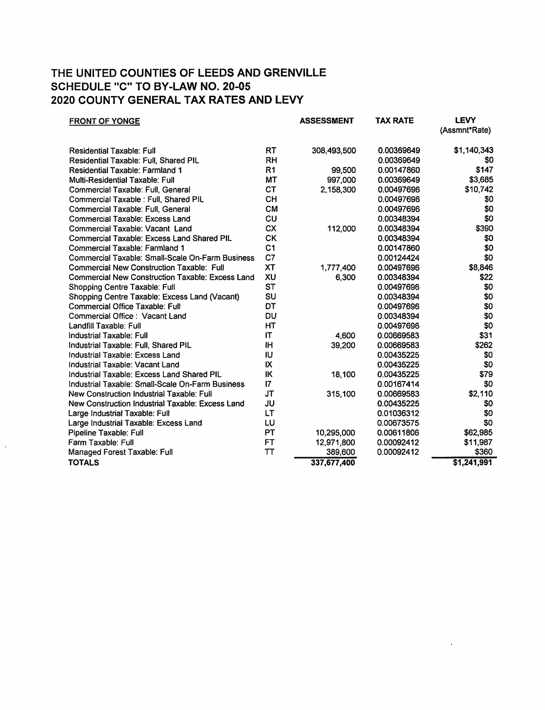| <b>FRONT OF YONGE</b>                                   |                | <b>ASSESSMENT</b> | <b>TAX RATE</b> | <b>LEVY</b><br>(Assmnt*Rate) |
|---------------------------------------------------------|----------------|-------------------|-----------------|------------------------------|
|                                                         |                |                   |                 |                              |
| <b>Residential Taxable: Full</b>                        | RT             | 308,493,500       | 0.00369649      | \$1,140,343                  |
| Residential Taxable: Full, Shared PIL                   | RH             |                   | 0.00369649      | \$0                          |
| Residential Taxable: Farmland 1                         | R <sub>1</sub> | 99,500            | 0.00147860      | \$147                        |
| <b>Multi-Residential Taxable: Full</b>                  | <b>MT</b>      | 997,000           | 0.00369649      | \$3,685                      |
| Commercial Taxable: Full, General                       | <b>CT</b>      | 2,158,300         | 0.00497696      | \$10,742                     |
| Commercial Taxable : Full, Shared PIL                   | <b>CH</b>      |                   | 0.00497696      | \$0                          |
| Commercial Taxable: Full, General                       | <b>CM</b>      |                   | 0.00497696      | \$0                          |
| <b>Commercial Taxable: Excess Land</b>                  | CU             |                   | 0.00348394      | \$0                          |
| Commercial Taxable: Vacant Land                         | <b>CX</b>      | 112,000           | 0.00348394      | \$390                        |
| <b>Commercial Taxable: Excess Land Shared PIL</b>       | СK             |                   | 0.00348394      | \$0                          |
| Commercial Taxable: Farmland 1                          | C <sub>1</sub> |                   | 0.00147860      | \$0                          |
| Commercial Taxable: Small-Scale On-Farm Business        | C7             |                   | 0.00124424      | \$0                          |
| <b>Commercial New Construction Taxable: Full</b>        | <b>XT</b>      | 1,777,400         | 0.00497696      | \$8,846                      |
| <b>Commercial New Construction Taxable: Excess Land</b> | XU             | 6,300             | 0.00348394      | \$22                         |
| Shopping Centre Taxable: Full                           | <b>ST</b>      |                   | 0.00497696      | \$0                          |
| Shopping Centre Taxable: Excess Land (Vacant)           | SU             |                   | 0.00348394      | \$0                          |
| Commercial Office Taxable: Full                         | DT             |                   | 0.00497696      | \$0                          |
| Commercial Office: Vacant Land                          | DU             |                   | 0.00348394      | \$0                          |
| Landfill Taxable: Full                                  | HT             |                   | 0.00497696      | \$0                          |
| Industrial Taxable: Full                                | IT             | 4,600             | 0.00669583      | \$31                         |
| Industrial Taxable: Full, Shared PIL                    | <b>IH</b>      | 39,200            | 0.00669583      | \$262                        |
| Industrial Taxable: Excess Land                         | IU             |                   | 0.00435225      | \$0                          |
| Industrial Taxable: Vacant Land                         | IX             |                   | 0.00435225      | \$0                          |
| Industrial Taxable: Excess Land Shared PIL              | IK             | 18,100            | 0.00435225      | \$79                         |
| Industrial Taxable: Small-Scale On-Farm Business        | 17             |                   | 0.00167414      | \$0                          |
| New Construction Industrial Taxable: Full               | <b>JT</b>      | 315,100           | 0.00669583      | \$2,110                      |
| New Construction Industrial Taxable: Excess Land        | JU             |                   | 0.00435225      | \$0                          |
| Large Industrial Taxable: Full                          | LT             |                   | 0.01036312      | \$0                          |
| Large Industrial Taxable: Excess Land                   | LU             |                   | 0.00673575      | \$0                          |
| Pipeline Taxable: Full                                  | <b>PT</b>      | 10,295,000        | 0.00611806      | \$62,985                     |
| Farm Taxable: Full                                      | <b>FT</b>      | 12,971,800        | 0.00092412      | \$11,987                     |
| Managed Forest Taxable: Full                            | TT             | 389,600           | 0.00092412      | \$360                        |
| <b>TOTALS</b>                                           |                | 337,677,400       |                 | \$1,241,991                  |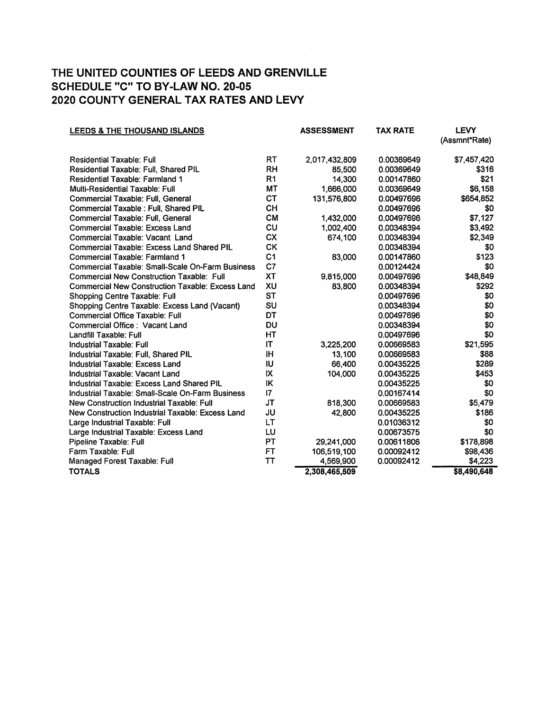| LEEDS & THE THOUSAND ISLANDS                            |                | <b>ASSESSMENT</b> | <b>TAX RATE</b> | <b>LEVY</b>   |
|---------------------------------------------------------|----------------|-------------------|-----------------|---------------|
|                                                         |                |                   |                 | (Assmnt*Rate) |
| <b>Residential Taxable: Full</b>                        | RT             | 2,017,432,809     | 0.00369649      | \$7,457,420   |
| Residential Taxable: Full, Shared PIL                   | <b>RH</b>      | 85,500            | 0.00369649      | \$316         |
| <b>Residential Taxable: Farmland 1</b>                  | R <sub>1</sub> | 14,300            | 0.00147860      | \$21          |
| Multi-Residential Taxable: Full                         | MT             | 1,666,000         | 0.00369649      | \$6,158       |
| Commercial Taxable: Full, General                       | <b>CT</b>      | 131,576,800       | 0.00497696      | \$654,852     |
| Commercial Taxable : Full. Shared PIL                   | <b>CH</b>      |                   | 0.00497696      | \$0           |
| Commercial Taxable: Full, General                       | <b>CM</b>      | 1,432,000         | 0.00497696      | \$7,127       |
| Commercial Taxable: Excess Land                         | CU             | 1,002,400         | 0.00348394      | \$3,492       |
| Commercial Taxable: Vacant Land                         | <b>CX</b>      | 674,100           | 0.00348394      | \$2,349       |
| <b>Commercial Taxable: Excess Land Shared PIL</b>       | <b>CK</b>      |                   | 0.00348394      | \$0           |
| Commercial Taxable: Farmland 1                          | C <sub>1</sub> | 83,000            | 0.00147860      | \$123         |
| Commercial Taxable: Small-Scale On-Farm Business        | C <sub>7</sub> |                   | 0.00124424      | \$0           |
| <b>Commercial New Construction Taxable: Full</b>        | <b>XT</b>      | 9,815,000         | 0.00497696      | \$48,849      |
| <b>Commercial New Construction Taxable: Excess Land</b> | XU             | 83,800            | 0.00348394      | \$292         |
| Shopping Centre Taxable: Full                           | <b>ST</b>      |                   | 0.00497696      | \$0           |
| Shopping Centre Taxable: Excess Land (Vacant)           | SU             |                   | 0.00348394      | \$0           |
| <b>Commercial Office Taxable: Full</b>                  | DT             |                   | 0.00497696      | \$0           |
| Commercial Office: Vacant Land                          | DU             |                   | 0.00348394      | \$0           |
| Landfill Taxable: Full                                  | HT             |                   | 0.00497696      | \$0           |
| <b>Industrial Taxable: Full</b>                         | IT             | 3,225,200         | 0.00669583      | \$21,595      |
| Industrial Taxable: Full, Shared PIL                    | IH             | 13,100            | 0.00669583      | \$88          |
| Industrial Taxable: Excess Land                         | IU             | 66,400            | 0.00435225      | \$289         |
| Industrial Taxable: Vacant Land                         | IX             | 104,000           | 0.00435225      | \$453         |
| Industrial Taxable: Excess Land Shared PIL              | IK             |                   | 0.00435225      | \$0           |
| Industrial Taxable: Small-Scale On-Farm Business        | 17             |                   | 0.00167414      | \$0           |
| New Construction Industrial Taxable: Full               | <b>JT</b>      | 818,300           | 0.00669583      | \$5,479       |
| New Construction Industrial Taxable: Excess Land        | JU             | 42,800            | 0.00435225      | \$186         |
| Large Industrial Taxable: Full                          | LT             |                   | 0.01036312      | \$0           |
| Large Industrial Taxable: Excess Land                   | LU             |                   | 0.00673575      | \$0           |
| Pipeline Taxable: Full                                  | PT             | 29,241,000        | 0.00611806      | \$178,898     |
| Farm Taxable: Full                                      | <b>FT</b>      | 106,519,100       | 0.00092412      | \$98,436      |
| Managed Forest Taxable: Full                            | TT             | 4,569,900         | 0.00092412      | \$4,223       |
| <b>TOTALS</b>                                           |                | 2,308,465,509     |                 | \$8,490,648   |
|                                                         |                |                   |                 |               |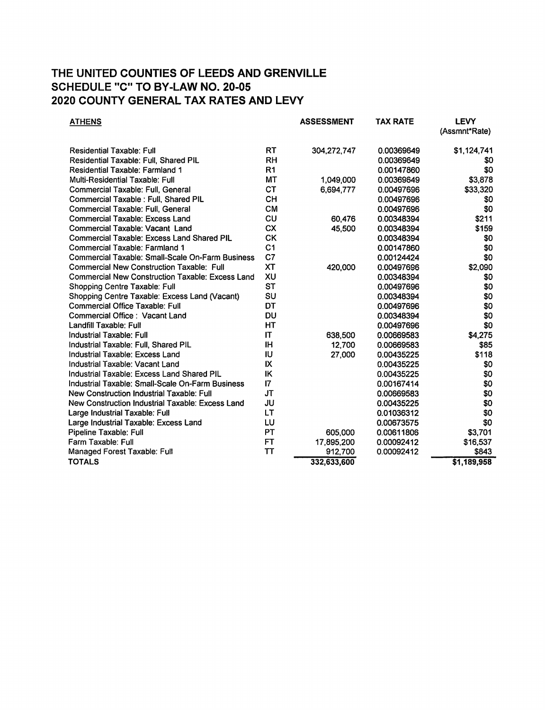| <b>ATHENS</b>                                           |                 | <b>ASSESSMENT</b> | <b>TAX RATE</b> | <b>LEVY</b><br>(Assmnt*Rate) |
|---------------------------------------------------------|-----------------|-------------------|-----------------|------------------------------|
| <b>Residential Taxable: Full</b>                        | <b>RT</b>       | 304,272,747       | 0.00369649      | \$1,124,741                  |
| Residential Taxable: Full, Shared PIL                   | <b>RH</b>       |                   | 0.00369649      | \$0                          |
| Residential Taxable: Farmland 1                         | R1              |                   | 0.00147860      | \$0                          |
| Multi-Residential Taxable: Full                         | MT              | 1,049,000         | 0.00369649      | \$3,878                      |
| Commercial Taxable: Full, General                       | <b>CT</b>       | 6,694,777         | 0.00497696      | \$33,320                     |
| Commercial Taxable : Full, Shared PIL                   | <b>CH</b>       |                   | 0.00497696      | \$0                          |
| Commercial Taxable: Full, General                       | <b>CM</b>       |                   | 0.00497696      | \$0                          |
| Commercial Taxable: Excess Land                         | CU              | 60,476            | 0.00348394      | \$211                        |
| <b>Commercial Taxable: Vacant Land</b>                  | <b>CX</b>       | 45,500            | 0.00348394      | \$159                        |
| <b>Commercial Taxable: Excess Land Shared PIL</b>       | <b>CK</b>       |                   | 0.00348394      | \$0                          |
| <b>Commercial Taxable: Farmland 1</b>                   | C <sub>1</sub>  |                   | 0.00147860      | \$0                          |
| Commercial Taxable: Small-Scale On-Farm Business        | C <sub>7</sub>  |                   | 0.00124424      | \$0                          |
| Commercial New Construction Taxable: Full               | <b>XT</b>       | 420,000           | 0.00497696      | \$2,090                      |
| <b>Commercial New Construction Taxable: Excess Land</b> | XU              |                   | 0.00348394      | \$0                          |
| Shopping Centre Taxable: Full                           | <b>ST</b>       |                   | 0.00497696      | \$0                          |
| Shopping Centre Taxable: Excess Land (Vacant)           | SU              |                   | 0.00348394      | \$0                          |
| <b>Commercial Office Taxable: Full</b>                  | DT              |                   | 0.00497696      | \$0                          |
| Commercial Office: Vacant Land                          | DU              |                   | 0.00348394      | \$0                          |
| Landfill Taxable: Full                                  | HT              |                   | 0.00497696      | \$0                          |
| Industrial Taxable: Full                                | IT              | 638,500           | 0.00669583      | \$4,275                      |
| Industrial Taxable: Full, Shared PIL                    | IH              | 12,700            | 0.00669583      | \$85                         |
| Industrial Taxable: Excess Land                         | IU              | 27,000            | 0.00435225      | \$118                        |
| Industrial Taxable: Vacant Land                         | IX              |                   | 0.00435225      | \$0                          |
| Industrial Taxable: Excess Land Shared PIL              | IK              |                   | 0.00435225      | \$0                          |
| Industrial Taxable: Small-Scale On-Farm Business        | $\overline{17}$ |                   | 0.00167414      | \$0                          |
| New Construction Industrial Taxable: Full               | <b>JT</b>       |                   | 0.00669583      | \$0                          |
| New Construction Industrial Taxable: Excess Land        | JU              |                   | 0.00435225      | \$0                          |
| Large Industrial Taxable: Full                          | LT              |                   | 0.01036312      | \$0                          |
| Large Industrial Taxable: Excess Land                   | LU              |                   | 0.00673575      | \$0                          |
| Pipeline Taxable: Full                                  | PT              | 605,000           | 0.00611806      | \$3,701                      |
| Farm Taxable: Full                                      | FT              | 17,895,200        | 0.00092412      | \$16,537                     |
| Managed Forest Taxable: Full                            | <b>TT</b>       | 912,700           | 0.00092412      | \$843                        |
| <b>TOTALS</b>                                           |                 | 332,633,600       |                 | \$1,189,958                  |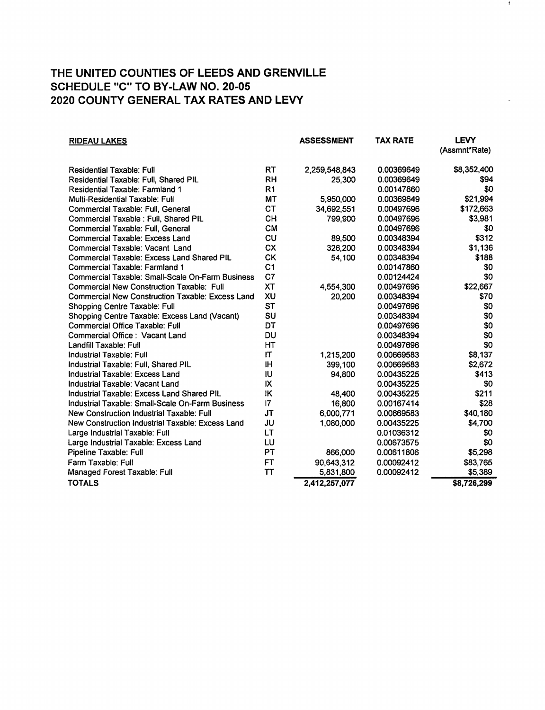| <b>RIDEAU LAKES</b>                                     |                | <b>ASSESSMENT</b> | <b>TAX RATE</b> | <b>LEVY</b><br>(Assmnt*Rate) |
|---------------------------------------------------------|----------------|-------------------|-----------------|------------------------------|
| <b>Residential Taxable: Full</b>                        | <b>RT</b>      | 2,259,548,843     | 0.00369649      | \$8,352,400                  |
| Residential Taxable: Full, Shared PIL                   | <b>RH</b>      | 25,300            | 0.00369649      | \$94                         |
| Residential Taxable: Farmland 1                         | R <sub>1</sub> |                   | 0.00147860      | \$0                          |
| Multi-Residential Taxable: Full                         | <b>MT</b>      | 5,950,000         | 0.00369649      | \$21,994                     |
| Commercial Taxable: Full, General                       | <b>CT</b>      | 34,692,551        | 0.00497696      | \$172,663                    |
| Commercial Taxable : Full, Shared PIL                   | CH             | 799,900           | 0.00497696      | \$3,981                      |
| Commercial Taxable: Full, General                       | <b>CM</b>      |                   | 0.00497696      | \$0                          |
| Commercial Taxable: Excess Land                         | CU             | 89,500            | 0.00348394      | \$312                        |
| Commercial Taxable: Vacant Land                         | <b>CX</b>      | 326,200           | 0.00348394      | \$1,136                      |
| <b>Commercial Taxable: Excess Land Shared PIL</b>       | СK             | 54,100            | 0.00348394      | \$188                        |
| Commercial Taxable: Farmland 1                          | C <sub>1</sub> |                   | 0.00147860      | \$0                          |
| Commercial Taxable: Small-Scale On-Farm Business        | C7             |                   | 0.00124424      | \$0                          |
| <b>Commercial New Construction Taxable: Full</b>        | <b>XT</b>      | 4,554,300         | 0.00497696      | \$22,667                     |
| <b>Commercial New Construction Taxable: Excess Land</b> | XU             | 20,200            | 0.00348394      | \$70                         |
| Shopping Centre Taxable: Full                           | <b>ST</b>      |                   | 0.00497696      | \$0                          |
| Shopping Centre Taxable: Excess Land (Vacant)           | SU             |                   | 0.00348394      | \$0                          |
| <b>Commercial Office Taxable: Full</b>                  | DT             |                   | 0.00497696      | \$0                          |
| Commercial Office: Vacant Land                          | DU             |                   | 0.00348394      | \$0                          |
| Landfill Taxable: Full                                  | <b>HT</b>      |                   | 0.00497696      | \$0                          |
| Industrial Taxable: Full                                | IT             | 1,215,200         | 0.00669583      | \$8,137                      |
| Industrial Taxable: Full, Shared PIL                    | <b>IH</b>      | 399,100           | 0.00669583      | \$2,672                      |
| Industrial Taxable: Excess Land                         | IU             | 94,800            | 0.00435225      | \$413                        |
| Industrial Taxable: Vacant Land                         | IX             |                   | 0.00435225      | \$0                          |
| Industrial Taxable: Excess Land Shared PIL              | IK             | 48,400            | 0.00435225      | \$211                        |
| Industrial Taxable: Small-Scale On-Farm Business        | 7              | 16,800            | 0.00167414      | \$28                         |
| New Construction Industrial Taxable: Full               | <b>JT</b>      | 6,000,771         | 0.00669583      | \$40,180                     |
| New Construction Industrial Taxable: Excess Land        | JU             | 1,080,000         | 0.00435225      | \$4,700                      |
| Large Industrial Taxable: Full                          | LT             |                   | 0.01036312      | \$0                          |
| Large Industrial Taxable: Excess Land                   | LU             |                   | 0.00673575      | \$0                          |
| Pipeline Taxable: Full                                  | PT             | 866,000           | 0.00611806      | \$5,298                      |
| Farm Taxable: Full                                      | <b>FT</b>      | 90,643,312        | 0.00092412      | \$83,765                     |
| Managed Forest Taxable: Full                            | TT             | 5,831,800         | 0.00092412      | \$5,389                      |
| <b>TOTALS</b>                                           |                | 2,412,257,077     |                 | \$8,726,299                  |